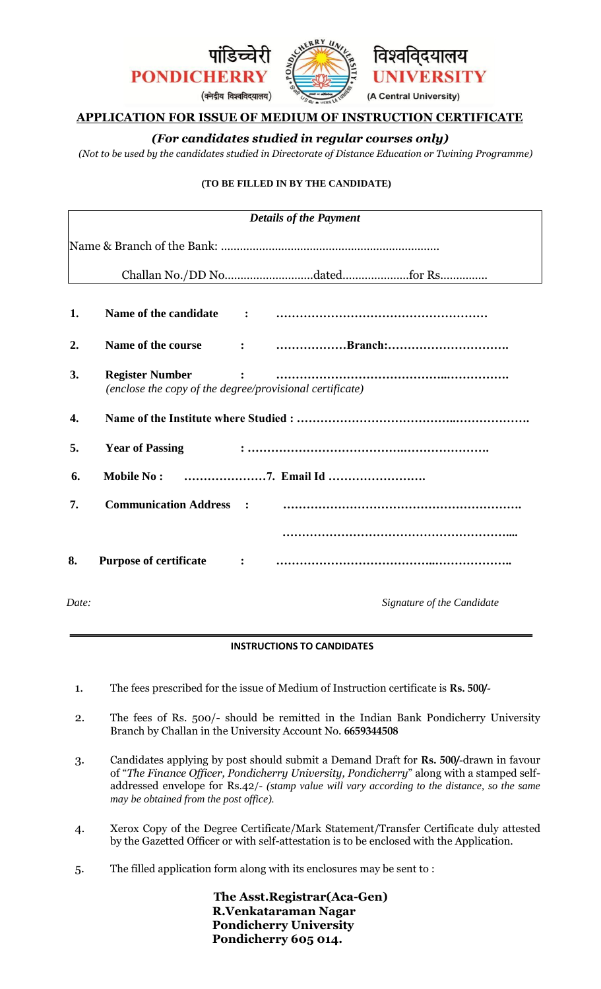

# **APPLICATION FOR ISSUE OF MEDIUM OF INSTRUCTION CERTIFICATE**

# *(For candidates studied in regular courses only)*

*(Not to be used by the candidates studied in Directorate of Distance Education or Twining Programme)* 

## **(TO BE FILLED IN BY THE CANDIDATE)**

| <b>Details of the Payment</b> |                                                                                    |                                                                                                                                                                                                                                                                                                                                                                                                                         |  |  |
|-------------------------------|------------------------------------------------------------------------------------|-------------------------------------------------------------------------------------------------------------------------------------------------------------------------------------------------------------------------------------------------------------------------------------------------------------------------------------------------------------------------------------------------------------------------|--|--|
|                               |                                                                                    |                                                                                                                                                                                                                                                                                                                                                                                                                         |  |  |
|                               |                                                                                    |                                                                                                                                                                                                                                                                                                                                                                                                                         |  |  |
| 1.                            |                                                                                    |                                                                                                                                                                                                                                                                                                                                                                                                                         |  |  |
| 2.                            | Name of the course                                                                 |                                                                                                                                                                                                                                                                                                                                                                                                                         |  |  |
| 3.                            | <b>Register Number</b><br>(enclose the copy of the degree/provisional certificate) | $\mathbf{C} = \mathbf{C} \mathbf{A} \mathbf{A} \mathbf{B} \mathbf{A} \mathbf{B} \mathbf{B} \mathbf{B} \mathbf{B} \mathbf{B} \mathbf{B} \mathbf{B} \mathbf{B} \mathbf{B} \mathbf{B} \mathbf{B} \mathbf{B} \mathbf{B} \mathbf{B} \mathbf{B} \mathbf{B} \mathbf{B} \mathbf{B} \mathbf{B} \mathbf{B} \mathbf{B} \mathbf{B} \mathbf{B} \mathbf{B} \mathbf{B} \mathbf{B} \mathbf{B} \mathbf{B} \mathbf{B} \mathbf{B} \mathbf$ |  |  |
| 4.                            |                                                                                    |                                                                                                                                                                                                                                                                                                                                                                                                                         |  |  |
| 5.                            | <b>Year of Passing</b>                                                             |                                                                                                                                                                                                                                                                                                                                                                                                                         |  |  |
| 6.                            | <b>Mobile No:</b>                                                                  |                                                                                                                                                                                                                                                                                                                                                                                                                         |  |  |
| 7.                            | <b>Communication Address</b>                                                       |                                                                                                                                                                                                                                                                                                                                                                                                                         |  |  |
|                               |                                                                                    |                                                                                                                                                                                                                                                                                                                                                                                                                         |  |  |
| 8.                            |                                                                                    |                                                                                                                                                                                                                                                                                                                                                                                                                         |  |  |
| Date:                         |                                                                                    | Signature of the Candidate                                                                                                                                                                                                                                                                                                                                                                                              |  |  |

## **INSTRUCTIONS TO CANDIDATES**

- 1. The fees prescribed for the issue of Medium of Instruction certificate is **Rs. 500/**-
- 2. The fees of Rs. 500/- should be remitted in the Indian Bank Pondicherry University Branch by Challan in the University Account No. **6659344508**
- 3. Candidates applying by post should submit a Demand Draft for **Rs. 500/**-drawn in favour of "*The Finance Officer, Pondicherry University, Pondicherry*" along with a stamped selfaddressed envelope for Rs.42/- *(stamp value will vary according to the distance, so the same may be obtained from the post office).*
- 4. Xerox Copy of the Degree Certificate/Mark Statement/Transfer Certificate duly attested by the Gazetted Officer or with self-attestation is to be enclosed with the Application.
- 5. The filled application form along with its enclosures may be sent to :

**The Asst.Registrar(Aca-Gen) R.Venkataraman Nagar Pondicherry University Pondicherry 605 014.**